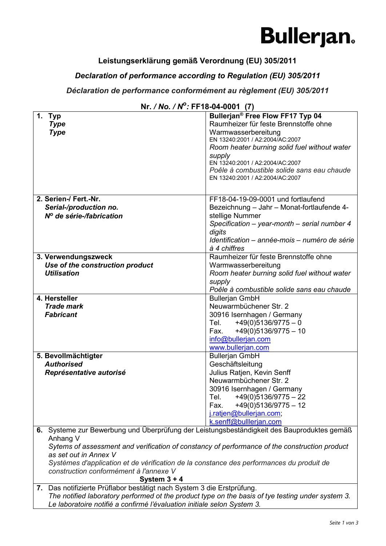### **Bullerjan.**

#### **Leistungserklärung gemäß Verordnung (EU) 305/2011**

#### *Declaration of performance according to Regulation (EU) 305/2011*

#### *Déclaration de performance conformément au règlement (EU) 305/2011*

|                                                                                                   | 0. <i>; ;</i> ; ; ; ; ; <del>; ; ; ; ; ; ; ; ; ;</del> |  |
|---------------------------------------------------------------------------------------------------|--------------------------------------------------------|--|
| 1. Typ                                                                                            | Bullerjan® Free Flow FF17 Typ 04                       |  |
| <b>Type</b>                                                                                       | Raumheizer für feste Brennstoffe ohne                  |  |
| <b>Type</b>                                                                                       | Warmwasserbereitung                                    |  |
|                                                                                                   |                                                        |  |
|                                                                                                   | EN 13240:2001 / A2:2004/AC:2007                        |  |
|                                                                                                   | Room heater burning solid fuel without water           |  |
|                                                                                                   | supply                                                 |  |
|                                                                                                   | EN 13240:2001 / A2:2004/AC:2007                        |  |
|                                                                                                   | Poêle à combustible solide sans eau chaude             |  |
|                                                                                                   | EN 13240:2001 / A2:2004/AC:2007                        |  |
|                                                                                                   |                                                        |  |
|                                                                                                   |                                                        |  |
| 2. Serien-/ Fert.-Nr.                                                                             | FF18-04-19-09-0001 und fortlaufend                     |  |
| Serial-/production no.                                                                            | Bezeichnung - Jahr - Monat-fortlaufende 4-             |  |
|                                                                                                   | stellige Nummer                                        |  |
| Nº de série-/fabrication                                                                          |                                                        |  |
|                                                                                                   | Specification - year-month - serial number 4           |  |
|                                                                                                   | digits                                                 |  |
|                                                                                                   | Identification - année-mois - numéro de série          |  |
|                                                                                                   | à 4 chiffres                                           |  |
| 3. Verwendungszweck                                                                               | Raumheizer für feste Brennstoffe ohne                  |  |
| Use of the construction product                                                                   | Warmwasserbereitung                                    |  |
|                                                                                                   |                                                        |  |
| <b>Utilisation</b>                                                                                | Room heater burning solid fuel without water           |  |
|                                                                                                   | supply                                                 |  |
|                                                                                                   | Poêle à combustible solide sans eau chaude             |  |
| 4. Hersteller                                                                                     | <b>Bullerjan GmbH</b>                                  |  |
| <b>Trade mark</b>                                                                                 | Neuwarmbüchener Str. 2                                 |  |
| <b>Fabricant</b>                                                                                  | 30916 Isernhagen / Germany                             |  |
|                                                                                                   |                                                        |  |
|                                                                                                   | $+49(0)5136/9775 - 0$<br>Tel.                          |  |
|                                                                                                   | $+49(0)5136/9775 - 10$<br>Fax.                         |  |
|                                                                                                   | info@bullerjan.com                                     |  |
|                                                                                                   | www.bullerjan.com                                      |  |
| 5. Bevollmächtigter                                                                               | <b>Bullerjan GmbH</b>                                  |  |
| <b>Authorised</b>                                                                                 | Geschäftsleitung                                       |  |
| Représentative autorisé                                                                           | Julius Ratjen, Kevin Senff                             |  |
|                                                                                                   | Neuwarmbüchener Str. 2                                 |  |
|                                                                                                   |                                                        |  |
|                                                                                                   | 30916 Isernhagen / Germany                             |  |
|                                                                                                   | Tel.<br>$+49(0)5136/9775 - 22$                         |  |
|                                                                                                   | $+49(0)5136/9775 - 12$<br>Fax.                         |  |
|                                                                                                   | j.ratjen@bullerjan.com;                                |  |
|                                                                                                   | k.senff@bulllerjan.com                                 |  |
| Systeme zur Bewerbung und Überprüfung der Leistungsbeständigkeit des Bauproduktes gemäß<br>6.     |                                                        |  |
|                                                                                                   |                                                        |  |
| Anhang V                                                                                          |                                                        |  |
| Sytems of assessment and verification of constancy of performance of the construction product     |                                                        |  |
| as set out in Annex V                                                                             |                                                        |  |
| Systèmes d'application et de vérification de la constance des performances du produit de          |                                                        |  |
| construction conformément à l'annexe V                                                            |                                                        |  |
| System $3 + 4$                                                                                    |                                                        |  |
| 7. Das notifizierte Prüflabor bestätigt nach System 3 die Erstprüfung.                            |                                                        |  |
| The notified laboratory performed ot the product type on the basis of tye testing under system 3. |                                                        |  |
|                                                                                                   |                                                        |  |
| Le laboratoire notifié a confirmé l'évaluation initiale selon System 3.                           |                                                        |  |

| Nr. / No. / N <sup>o</sup> : FF18-04-0001 (7) |  |
|-----------------------------------------------|--|
|-----------------------------------------------|--|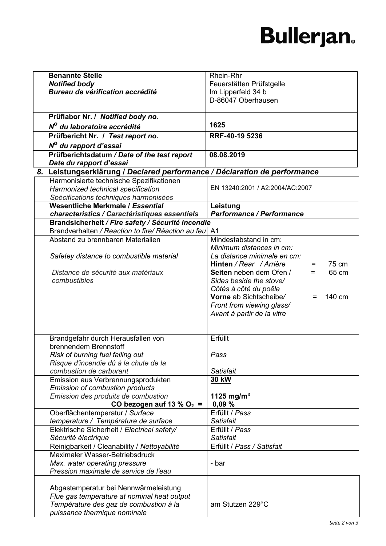# **Bullerjan.**

| <b>Benannte Stelle</b>                                                         | Rhein-Rhr                                                        |
|--------------------------------------------------------------------------------|------------------------------------------------------------------|
| <b>Notified body</b>                                                           | Feuerstätten Prüfstgelle                                         |
| Bureau de vérification accrédité                                               | Im Lipperfeld 34 b                                               |
|                                                                                | D-86047 Oberhausen                                               |
|                                                                                |                                                                  |
| Prüflabor Nr. / Notified body no.                                              |                                                                  |
| Nº du laboratoire accrédité                                                    | 1625                                                             |
| Prüfbericht Nr. / Test report no.                                              | RRF-40-19 5236                                                   |
| N <sup>o</sup> du rapport d'essai                                              |                                                                  |
| Prüfberichtsdatum / Date of the test report                                    | 08.08.2019                                                       |
| Date du rapport d'essai                                                        |                                                                  |
| Leistungserklärung / Declared performance / Déclaration de performance<br>8.   |                                                                  |
| Harmonisierte technische Spezifikationen                                       |                                                                  |
| Harmonized technical specification                                             | EN 13240:2001 / A2:2004/AC:2007                                  |
| Spécifications techniques harmonisées                                          |                                                                  |
| Wesentliche Merkmale / Essential                                               | Leistung                                                         |
| characteristics / Caractéristiques essentiels                                  | Performance / Performance                                        |
| Brandsicherheit / Fire safety / Sécurité incendie                              |                                                                  |
| Brandverhalten / Reaction to fire/ Réaction au feu                             | A <sub>1</sub>                                                   |
| Abstand zu brennbaren Materialien                                              | Mindestabstand in cm:                                            |
|                                                                                | Minimum distances in cm:                                         |
| Safetey distance to combustible material                                       | La distance minimale en cm:                                      |
|                                                                                | 75 cm<br>Hinten / Rear / Arrière<br>$=$                          |
| Distance de sécurité aux matériaux                                             | 65 cm<br>Seiten neben dem Ofen /<br>$=$                          |
| combustibles                                                                   | Sides beside the stove/                                          |
|                                                                                | Côtés à côté du poêle<br>Vorne ab Sichtscheibe/<br>140 cm<br>$=$ |
|                                                                                | Front from viewing glass/                                        |
|                                                                                | Avant à partir de la vitre                                       |
|                                                                                |                                                                  |
|                                                                                |                                                                  |
| Brandgefahr durch Herausfallen von                                             | Erfüllt                                                          |
| brennendem Brennstoff                                                          |                                                                  |
| Risk of burning fuel falling out                                               | Pass                                                             |
| Risque d'incendie dû à la chute de la                                          |                                                                  |
| combustion de carburant                                                        | <b>Satisfait</b>                                                 |
| Emission aus Verbrennungsprodukten                                             | <b>30 kW</b>                                                     |
| <b>Emission of combustion products</b>                                         |                                                                  |
| Emission des produits de combustion                                            | 1125 mg/m <sup>3</sup>                                           |
| CO bezogen auf 13 % O <sub>2</sub> =                                           | 0,09%                                                            |
| Oberflächentemperatur / Surface                                                | Erfüllt / Pass                                                   |
| temperature / Température de surface                                           | <b>Satisfait</b>                                                 |
| Elektrische Sicherheit / Electrical safety/                                    | Erfüllt / Pass                                                   |
| Sécurité électrique                                                            | <b>Satisfait</b><br>Erfüllt / Pass / Satisfait                   |
| Reinigbarkeit / Cleanability / Nettoyabilité<br>Maximaler Wasser-Betriebsdruck |                                                                  |
| Max. water operating pressure                                                  | - bar                                                            |
| Pression maximale de service de l'eau                                          |                                                                  |
|                                                                                |                                                                  |
| Abgastemperatur bei Nennwärmeleistung                                          |                                                                  |
| Flue gas temperature at nominal heat output                                    |                                                                  |
| Température des gaz de combustion à la                                         | am Stutzen 229°C                                                 |
| puissance thermique nominale                                                   |                                                                  |